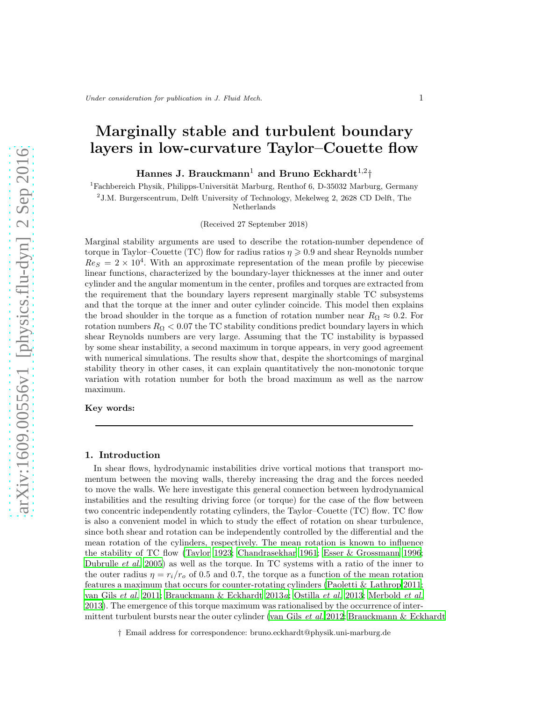# Marginally stable and turbulent boundary layers in low-curvature Taylor–Couette flow

Hannes J. Brauckmann $^1$  and Bruno Eckhardt $^{1,2} \dag$ 

 $1F$ achbereich Physik, Philipps-Universität Marburg, Renthof 6, D-35032 Marburg, Germany

2 J.M. Burgerscentrum, Delft University of Technology, Mekelweg 2, 2628 CD Delft, The

Netherlands

(Received 27 September 2018)

Marginal stability arguments are used to describe the rotation-number dependence of torque in Taylor–Couette (TC) flow for radius ratios  $\eta \geqslant 0.9$  and shear Reynolds number  $Re<sub>S</sub> = 2 \times 10<sup>4</sup>$ . With an approximate representation of the mean profile by piecewise linear functions, characterized by the boundary-layer thicknesses at the inner and outer cylinder and the angular momentum in the center, profiles and torques are extracted from the requirement that the boundary layers represent marginally stable TC subsystems and that the torque at the inner and outer cylinder coincide. This model then explains the broad shoulder in the torque as a function of rotation number near  $R_{\Omega} \approx 0.2$ . For rotation numbers  $R_{\Omega} < 0.07$  the TC stability conditions predict boundary layers in which shear Reynolds numbers are very large. Assuming that the TC instability is bypassed by some shear instability, a second maximum in torque appears, in very good agreement with numerical simulations. The results show that, despite the shortcomings of marginal stability theory in other cases, it can explain quantitatively the non-monotonic torque variation with rotation number for both the broad maximum as well as the narrow maximum.

Key words:

## 1. Introduction

In shear flows, hydrodynamic instabilities drive vortical motions that transport momentum between the moving walls, thereby increasing the drag and the forces needed to move the walls. We here investigate this general connection between hydrodynamical instabilities and the resulting driving force (or torque) for the case of the flow between two concentric independently rotating cylinders, the Taylor–Couette (TC) flow. TC flow is also a convenient model in which to study the effect of rotation on shear turbulence, since both shear and rotation can be independently controlled by the differential and the mean rotation of the cylinders, respectively. The mean rotation is known to influence the stability of TC flow [\(Taylor 1923;](#page-17-0) [Chandrasekhar 1961;](#page-15-0) Esser & [Grossmann 1996;](#page-16-0) [Dubrulle](#page-16-1) et al. [2005](#page-16-1)) as well as the torque. In TC systems with a ratio of the inner to the outer radius  $\eta = r_i/r_o$  of 0.5 and 0.7, the torque as a function of the mean rotation features a maximum that occurs for counter-rotating cylinders [\(Paoletti & Lathrop 2011;](#page-17-1) [van Gils](#page-16-2) et al. [2011;](#page-16-2) [Brauckmann & Eckhardt 2013](#page-15-1)a; [Ostilla](#page-16-3) et al. [2013](#page-16-3); [Merbold](#page-16-4) et al. [2013\)](#page-16-4). The emergence of this torque maximum was rationalised by the occurrence of inter-mittent turbulent bursts near the outer cylinder [\(van Gils](#page-16-5) *et al.* [2012;](#page-16-5) [Brauckmann & Eckhardt](#page-15-2)

<sup>†</sup> Email address for correspondence: bruno.eckhardt@physik.uni-marburg.de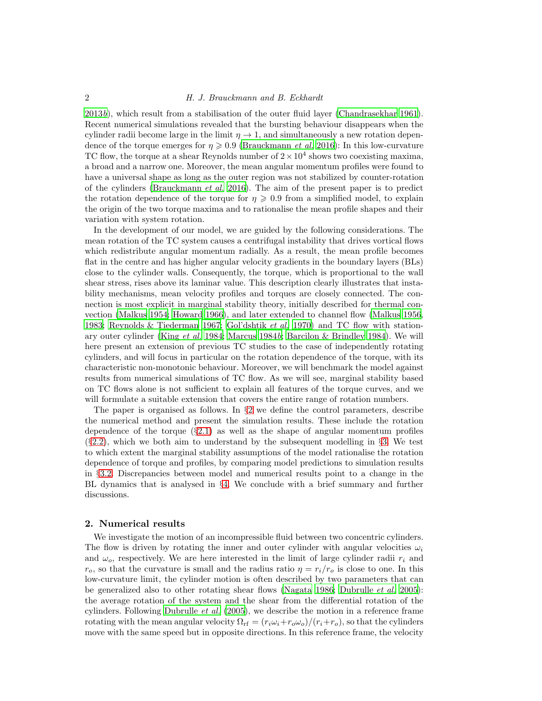## 2 H. J. Brauckmann and B. Eckhardt

[2013](#page-15-2)b), which result from a stabilisation of the outer fluid layer [\(Chandrasekhar 1961\)](#page-15-0). Recent numerical simulations revealed that the bursting behaviour disappears when the cylinder radii become large in the limit  $\eta \to 1$ , and simultaneously a new rotation dependence of the torque emerges for  $\eta \geqslant 0.9$  [\(Brauckmann](#page-15-3) *et al.* [2016\)](#page-15-3): In this low-curvature TC flow, the torque at a shear Reynolds number of  $2 \times 10^4$  shows two coexisting maxima, a broad and a narrow one. Moreover, the mean angular momentum profiles were found to have a universal shape as long as the outer region was not stabilized by counter-rotation of the cylinders [\(Brauckmann](#page-15-3) et al. [2016\)](#page-15-3). The aim of the present paper is to predict the rotation dependence of the torque for  $\eta \geqslant 0.9$  from a simplified model, to explain the origin of the two torque maxima and to rationalise the mean profile shapes and their variation with system rotation.

In the development of our model, we are guided by the following considerations. The mean rotation of the TC system causes a centrifugal instability that drives vortical flows which redistribute angular momentum radially. As a result, the mean profile becomes flat in the centre and has higher angular velocity gradients in the boundary layers (BLs) close to the cylinder walls. Consequently, the torque, which is proportional to the wall shear stress, rises above its laminar value. This description clearly illustrates that instability mechanisms, mean velocity profiles and torques are closely connected. The connection is most explicit in marginal stability theory, initially described for thermal convection [\(Malkus 1954](#page-16-6); [Howard 1966](#page-16-7)), and later extended to channel flow [\(Malkus 1956,](#page-16-8) [1983;](#page-16-9) [Reynolds & Tiederman 1967;](#page-17-2) [Gol'dshtik](#page-16-10) et al. [1970](#page-16-10)) and TC flow with stationary outer cylinder (King *[et al.](#page-16-11)* [1984;](#page-16-11) [Marcus 1984](#page-16-12)b; [Barcilon & Brindley 1984\)](#page-15-4). We will here present an extension of previous TC studies to the case of independently rotating cylinders, and will focus in particular on the rotation dependence of the torque, with its characteristic non-monotonic behaviour. Moreover, we will benchmark the model against results from numerical simulations of TC flow. As we will see, marginal stability based on TC flows alone is not sufficient to explain all features of the torque curves, and we will formulate a suitable extension that covers the entire range of rotation numbers.

The paper is organised as follows. In  $\S2$  $\S2$  we define the control parameters, describe the numerical method and present the simulation results. These include the rotation dependence of the torque  $(\S2.1)$  $(\S2.1)$  as well as the shape of angular momentum profiles (§[2.2\)](#page-4-0), which we both aim to understand by the subsequent modelling in §[3.](#page-5-0) We test to which extent the marginal stability assumptions of the model rationalise the rotation dependence of torque and profiles, by comparing model predictions to simulation results in §[3.2.](#page-7-0) Discrepancies between model and numerical results point to a change in the BL dynamics that is analysed in §[4.](#page-10-0) We conclude with a brief summary and further discussions.

## <span id="page-1-0"></span>2. Numerical results

We investigate the motion of an incompressible fluid between two concentric cylinders. The flow is driven by rotating the inner and outer cylinder with angular velocities  $\omega_i$ and  $\omega_o$ , respectively. We are here interested in the limit of large cylinder radii  $r_i$  and  $r_o$ , so that the curvature is small and the radius ratio  $\eta = r_i/r_o$  is close to one. In this low-curvature limit, the cylinder motion is often described by two parameters that can be generalized also to other rotating shear flows [\(Nagata 1986;](#page-16-13) [Dubrulle](#page-16-1) *et al.* [2005\)](#page-16-1): the average rotation of the system and the shear from the differential rotation of the cylinders. Following [Dubrulle](#page-16-1) et al. [\(2005\)](#page-16-1), we describe the motion in a reference frame rotating with the mean angular velocity  $\Omega_{\rm rf} = (r_i\omega_i+r_o\omega_o)/(r_i+r_o)$ , so that the cylinders move with the same speed but in opposite directions. In this reference frame, the velocity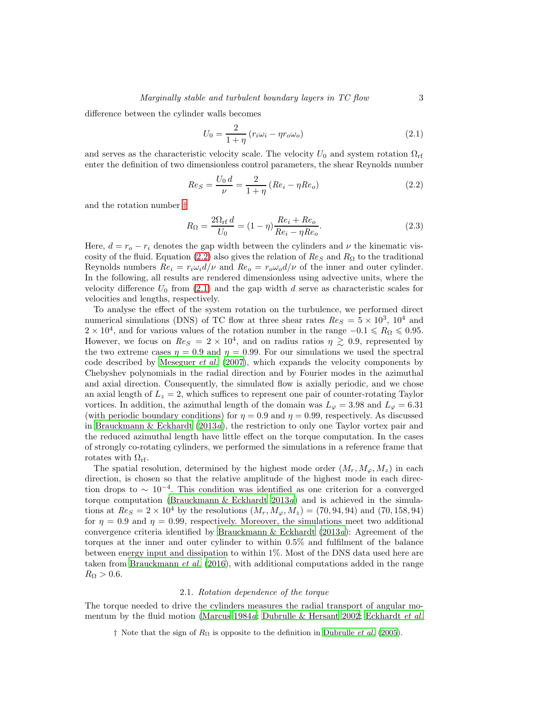difference between the cylinder walls becomes

<span id="page-2-3"></span>
$$
U_0 = \frac{2}{1 + \eta} \left( r_i \omega_i - \eta r_o \omega_o \right) \tag{2.1}
$$

and serves as the characteristic velocity scale. The velocity  $U_0$  and system rotation  $\Omega_{\rm rf}$ enter the definition of two dimensionless control parameters, the shear Reynolds number

<span id="page-2-2"></span>
$$
Re_S = \frac{U_0 d}{\nu} = \frac{2}{1 + \eta} \left( Re_i - \eta Re_o \right) \tag{2.2}
$$

and the rotation number [†](#page-2-1)

$$
R_{\Omega} = \frac{2\Omega_{\text{rf}} d}{U_0} = (1 - \eta) \frac{Re_i + Re_o}{Re_i - \eta Re_o}.
$$
\n(2.3)

Here,  $d = r_o - r_i$  denotes the gap width between the cylinders and  $\nu$  the kinematic vis-cosity of the fluid. Equation [\(2.2\)](#page-2-2) also gives the relation of  $Re_S$  and  $R_\Omega$  to the traditional Reynolds numbers  $Re_i = r_i \omega_i d/\nu$  and  $Re_o = r_o \omega_o d/\nu$  of the inner and outer cylinder. In the following, all results are rendered dimensionless using advective units, where the velocity difference  $U_0$  from [\(2.1\)](#page-2-3) and the gap width d serve as characteristic scales for velocities and lengths, respectively.

To analyse the effect of the system rotation on the turbulence, we performed direct numerical simulations (DNS) of TC flow at three shear rates  $Re_S = 5 \times 10^3$ ,  $10^4$  and  $2 \times 10^4$ , and for various values of the rotation number in the range  $-0.1 \le R_{\Omega} \le 0.95$ . However, we focus on  $Re_S = 2 \times 10^4$ , and on radius ratios  $\eta \gtrsim 0.9$ , represented by the two extreme cases  $\eta = 0.9$  and  $\eta = 0.99$ . For our simulations we used the spectral code described by [Meseguer](#page-16-14) *et al.*  $(2007)$ , which expands the velocity components by Chebyshev polynomials in the radial direction and by Fourier modes in the azimuthal and axial direction. Consequently, the simulated flow is axially periodic, and we chose an axial length of  $L_z = 2$ , which suffices to represent one pair of counter-rotating Taylor vortices. In addition, the azimuthal length of the domain was  $L<sub>\varphi</sub> = 3.98$  and  $L<sub>\varphi</sub> = 6.31$ (with periodic boundary conditions) for  $\eta = 0.9$  and  $\eta = 0.99$ , respectively. As discussed in [Brauckmann & Eckhardt \(2013](#page-15-1)a), the restriction to only one Taylor vortex pair and the reduced azimuthal length have little effect on the torque computation. In the cases of strongly co-rotating cylinders, we performed the simulations in a reference frame that rotates with  $\Omega_{\rm rf}$ .

The spatial resolution, determined by the highest mode order  $(M_r, M_\varphi, M_z)$  in each direction, is chosen so that the relative amplitude of the highest mode in each direction drops to ∼ 10<sup>−</sup><sup>4</sup> . This condition was identified as one criterion for a converged torque computation [\(Brauckmann & Eckhardt 2013](#page-15-1)a) and is achieved in the simulations at  $Re_S = 2 \times 10^4$  by the resolutions  $(M_r, M_\varphi, M_z) = (70, 94, 94)$  and  $(70, 158, 94)$ for  $\eta = 0.9$  and  $\eta = 0.99$ , respectively. Moreover, the simulations meet two additional convergence criteria identified by Brauckmann & Eckhardt  $(2013a)$ : Agreement of the torques at the inner and outer cylinder to within 0.5% and fulfilment of the balance between energy input and dissipation to within 1%. Most of the DNS data used here are taken from [Brauckmann](#page-15-3) et al. [\(2016\)](#page-15-3), with additional computations added in the range  $R_{\Omega} > 0.6.$ 

#### 2.1. Rotation dependence of the torque

<span id="page-2-0"></span>The torque needed to drive the cylinders measures the radial transport of angular mo-mentum by the fluid motion [\(Marcus 1984](#page-16-15)a; [Dubrulle & Hersant 2002;](#page-16-16) [Eckhardt](#page-16-17) et al.

<span id="page-2-1"></span>† Note that the sign of  $R_{\Omega}$  is opposite to the definition in [Dubrulle](#page-16-1) *et al.* [\(2005](#page-16-1)).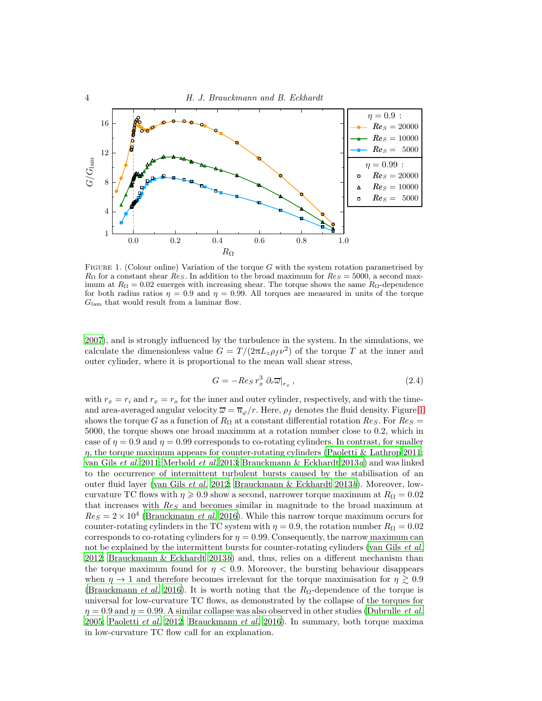

<span id="page-3-0"></span>FIGURE 1. (Colour online) Variation of the torque  $G$  with the system rotation parametrised by  $R_{\Omega}$  for a constant shear  $Res.$  In addition to the broad maximum for  $Res = 5000$ , a second maximum at  $R_{\Omega} = 0.02$  emerges with increasing shear. The torque shows the same  $R_{\Omega}$ -dependence for both radius ratios  $\eta = 0.9$  and  $\eta = 0.99$ . All torques are measured in units of the torque  $G_{\text{lam}}$  that would result from a laminar flow.

[2007\)](#page-16-17), and is strongly influenced by the turbulence in the system. In the simulations, we calculate the dimensionless value  $G = T/(2\pi L_z \rho_f \nu^2)$  of the torque T at the inner and outer cylinder, where it is proportional to the mean wall shear stress,

<span id="page-3-1"></span>
$$
G = -\operatorname{Re}_S r_x^3 \partial_r \overline{\omega}|_{r_x},\tag{2.4}
$$

with  $r_x = r_i$  and  $r_x = r_o$  for the inner and outer cylinder, respectively, and with the timeand area-averaged angular velocity  $\overline{\omega} = \overline{u}_{\varphi}/r$ . Here,  $\rho_f$  denotes the fluid density. Figure [1](#page-3-0) shows the torque G as a function of  $R_{\Omega}$  at a constant differential rotation  $Re_S$ . For  $Re_S =$ 5000, the torque shows one broad maximum at a rotation number close to 0.2, which in case of  $\eta = 0.9$  and  $\eta = 0.99$  corresponds to co-rotating cylinders. In contrast, for smaller  $\eta$ , the torque maximum appears for counter-rotating cylinders [\(Paoletti & Lathrop 2011;](#page-17-1) [van Gils](#page-16-2) et al. [2011;](#page-16-2) [Merbold](#page-16-4) et al. [2013;](#page-16-4) [Brauckmann & Eckhardt 2013](#page-15-1)a) and was linked to the occurrence of intermittent turbulent bursts caused by the stabilisation of an outer fluid layer [\(van Gils](#page-16-5) et al. [2012;](#page-16-5) [Brauckmann & Eckhardt 2013](#page-15-2)b). Moreover, lowcurvature TC flows with  $\eta \geqslant 0.9$  show a second, narrower torque maximum at  $R_{\Omega} = 0.02$ that increases with  $Res$  and becomes similar in magnitude to the broad maximum at  $Re_S = 2 \times 10^4$  [\(Brauckmann](#page-15-3) *et al.* [2016](#page-15-3)). While this narrow torque maximum occurs for counter-rotating cylinders in the TC system with  $\eta = 0.9$ , the rotation number  $R_{\Omega} = 0.02$ corresponds to co-rotating cylinders for  $\eta = 0.99$ . Consequently, the narrow maximum can not be explained by the intermittent bursts for counter-rotating cylinders [\(van Gils](#page-16-5) *et al.*) [2012;](#page-16-5) [Brauckmann & Eckhardt 2013](#page-15-2)b) and, thus, relies on a different mechanism than the torque maximum found for  $\eta < 0.9$ . Moreover, the bursting behaviour disappears when  $\eta \to 1$  and therefore becomes irrelevant for the torque maximisation for  $\eta \gtrsim 0.9$ [\(Brauckmann](#page-15-3) *et al.* [2016\)](#page-15-3). It is worth noting that the  $R_{\Omega}$ -dependence of the torque is universal for low-curvature TC flows, as demonstrated by the collapse of the torques for  $\eta = 0.9$  and  $\eta = 0.99$ . A similar collapse was also observed in other studies [\(Dubrulle](#page-16-1) *et al.*) [2005;](#page-16-1) [Paoletti](#page-17-3) et al. [2012](#page-17-3); [Brauckmann](#page-15-3) et al. [2016\)](#page-15-3). In summary, both torque maxima in low-curvature TC flow call for an explanation.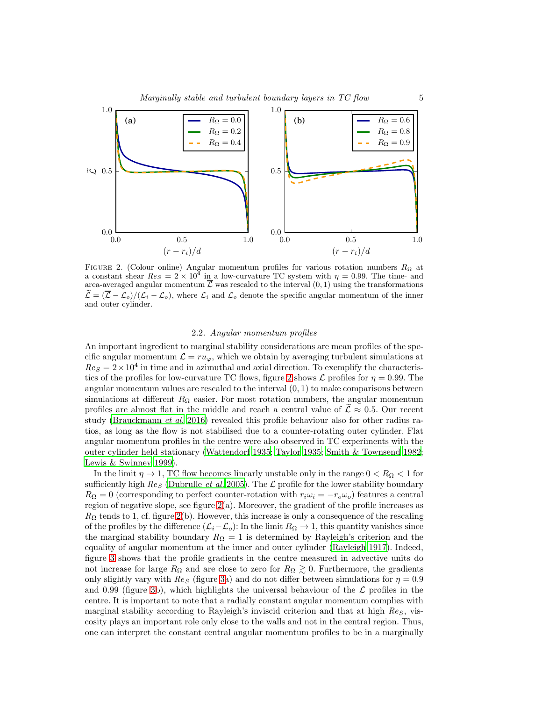#### Marginally stable and turbulent boundary layers in TC flow 5



<span id="page-4-1"></span>FIGURE 2. (Colour online) Angular momentum profiles for various rotation numbers  $R_{\Omega}$  at a constant shear  $Re_S = 2 \times 10^4$  in a low-curvature TC system with  $\eta = 0.99$ . The time- and area-averaged angular momentum  $\overline{\mathcal{L}}$  was rescaled to the interval  $(0, 1)$  using the transformations  $\mathcal{L} = (\overline{\mathcal{L}} - \mathcal{L}_o)/(\mathcal{L}_i - \mathcal{L}_o)$ , where  $\mathcal{L}_i$  and  $\mathcal{L}_o$  denote the specific angular momentum of the inner and outer cylinder.

#### 2.2. Angular momentum profiles

<span id="page-4-0"></span>An important ingredient to marginal stability considerations are mean profiles of the specific angular momentum  $\mathcal{L} = ru_{\varphi}$ , which we obtain by averaging turbulent simulations at  $Res = 2 \times 10^4$  in time and in azimuthal and axial direction. To exemplify the characteris-tics of the profiles for low-curvature TC flows, figure [2](#page-4-1) shows  $\mathcal L$  profiles for  $\eta = 0.99$ . The angular momentum values are rescaled to the interval  $(0, 1)$  to make comparisons between simulations at different  $R_{\Omega}$  easier. For most rotation numbers, the angular momentum profiles are almost flat in the middle and reach a central value of  $\mathcal{L} \approx 0.5$ . Our recent study [\(Brauckmann](#page-15-3) et al. [2016\)](#page-15-3) revealed this profile behaviour also for other radius ratios, as long as the flow is not stabilised due to a counter-rotating outer cylinder. Flat angular momentum profiles in the centre were also observed in TC experiments with the outer cylinder held stationary [\(Wattendorf 1935;](#page-17-4) [Taylor 1935;](#page-17-5) [Smith & Townsend 1982;](#page-17-6) [Lewis & Swinney 1999\)](#page-16-18).

In the limit  $\eta \to 1$ , TC flow becomes linearly unstable only in the range  $0 < R_{\Omega} < 1$  for sufficiently high  $Res$  [\(Dubrulle](#page-16-1) *et al.* [2005\)](#page-16-1). The  $\mathcal{L}$  profile for the lower stability boundary  $R_{\Omega} = 0$  (corresponding to perfect counter-rotation with  $r_i \omega_i = -r_o \omega_o$ ) features a central region of negative slope, see figure  $2(a)$ . Moreover, the gradient of the profile increases as  $R_{\Omega}$  tends to 1, cf. figure [2\(](#page-4-1)b). However, this increase is only a consequence of the rescaling of the profiles by the difference  $(\mathcal{L}_i-\mathcal{L}_o)$ : In the limit  $R_{\Omega} \to 1$ , this quantity vanishes since the marginal stability boundary  $R_{\Omega} = 1$  is determined by Rayleigh's criterion and the equality of angular momentum at the inner and outer cylinder [\(Rayleigh 1917\)](#page-17-7). Indeed, figure [3](#page-5-1) shows that the profile gradients in the centre measured in advective units do not increase for large  $R_{\Omega}$  and are close to zero for  $R_{\Omega} \gtrsim 0$ . Furthermore, the gradients only slightly vary with  $Re<sub>S</sub>$  (figure [3a](#page-5-1)) and do not differ between simulations for  $\eta = 0.9$ and 0.99 (figure [3b](#page-5-1)), which highlights the universal behaviour of the  $\mathcal L$  profiles in the centre. It is important to note that a radially constant angular momentum complies with marginal stability according to Rayleigh's inviscid criterion and that at high  $Re<sub>S</sub>$ , viscosity plays an important role only close to the walls and not in the central region. Thus, one can interpret the constant central angular momentum profiles to be in a marginally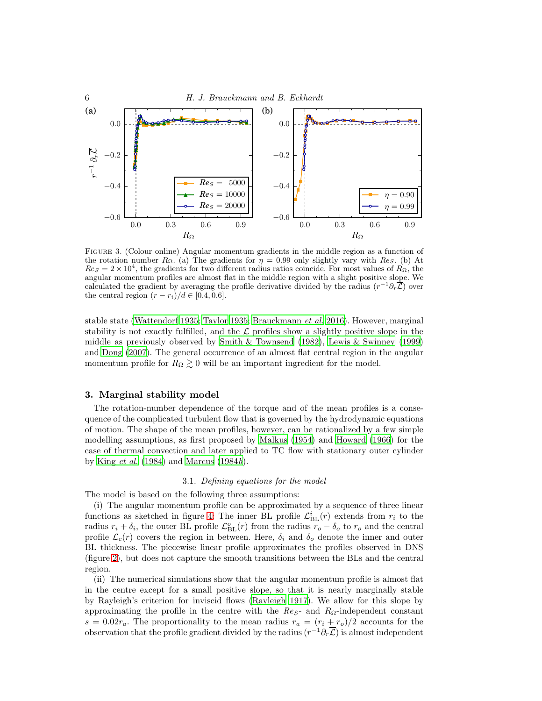

<span id="page-5-1"></span>Figure 3. (Colour online) Angular momentum gradients in the middle region as a function of the rotation number  $R_{\Omega}$ . (a) The gradients for  $\eta = 0.99$  only slightly vary with  $Re_S$ . (b) At  $Res = 2 \times 10^4$ , the gradients for two different radius ratios coincide. For most values of  $R_{\Omega}$ , the angular momentum profiles are almost flat in the middle region with a slight positive slope. We calculated the gradient by averaging the profile derivative divided by the radius  $(r^{-1}\partial_r\vec{\mathcal{L}})$  over the central region  $(r - r_i)/d \in [0.4, 0.6]$ .

stable state [\(Wattendorf 1935;](#page-17-4) [Taylor 1935;](#page-17-5) [Brauckmann](#page-15-3) et al. [2016\)](#page-15-3). However, marginal stability is not exactly fulfilled, and the  $\mathcal L$  profiles show a slightly positive slope in the middle as previously observed by [Smith & Townsend \(1982](#page-17-6)), [Lewis & Swinney \(1999\)](#page-16-18) and [Dong \(2007\)](#page-15-5). The general occurrence of an almost flat central region in the angular momentum profile for  $R_{\Omega} \gtrsim 0$  will be an important ingredient for the model.

## <span id="page-5-0"></span>3. Marginal stability model

The rotation-number dependence of the torque and of the mean profiles is a consequence of the complicated turbulent flow that is governed by the hydrodynamic equations of motion. The shape of the mean profiles, however, can be rationalized by a few simple modelling assumptions, as first proposed by [Malkus \(1954\)](#page-16-6) and [Howard \(1966](#page-16-7)) for the case of thermal convection and later applied to TC flow with stationary outer cylinder by King [et al.](#page-16-11)  $(1984)$  and Marcus  $(1984b)$ .

## 3.1. Defining equations for the model

The model is based on the following three assumptions:

(i) The angular momentum profile can be approximated by a sequence of three linear functions as sketched in figure [4:](#page-6-0) The inner BL profile  $\mathcal{L}_{BL}^{i}(r)$  extends from  $r_i$  to the radius  $r_i + \delta_i$ , the outer BL profile  $\mathcal{L}_{BL}^o(r)$  from the radius  $r_o - \delta_o$  to  $r_o$  and the central profile  $\mathcal{L}_c(r)$  covers the region in between. Here,  $\delta_i$  and  $\delta_o$  denote the inner and outer BL thickness. The piecewise linear profile approximates the profiles observed in DNS (figure [2\)](#page-4-1), but does not capture the smooth transitions between the BLs and the central region.

(ii) The numerical simulations show that the angular momentum profile is almost flat in the centre except for a small positive slope, so that it is nearly marginally stable by Rayleigh's criterion for inviscid flows [\(Rayleigh 1917\)](#page-17-7). We allow for this slope by approximating the profile in the centre with the  $Res$ - and  $R_{\Omega}$ -independent constant  $s = 0.02r_a$ . The proportionality to the mean radius  $r_a = (r_i + r_o)/2$  accounts for the observation that the profile gradient divided by the radius  $(r^{-1}\partial_r\overline{\mathcal{L}})$  is almost independent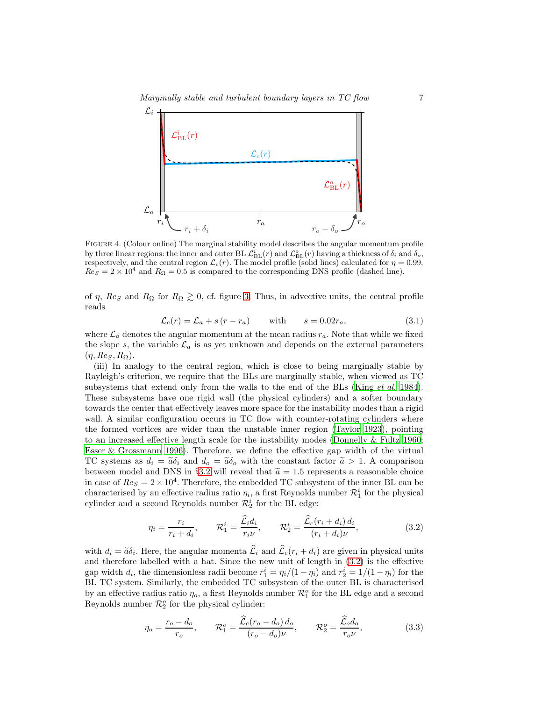

<span id="page-6-0"></span>Figure 4. (Colour online) The marginal stability model describes the angular momentum profile by three linear regions: the inner and outer BL  $\mathcal{L}_{BL}^{i}(r)$  and  $\mathcal{L}_{BL}^{o}(r)$  having a thickness of  $\delta_{i}$  and  $\delta_{o}$ , respectively, and the central region  $\mathcal{L}_c(r)$ . The model profile (solid lines) calculated for  $\eta = 0.99$ ,  $Res = 2 \times 10^4$  and  $R_{\Omega} = 0.5$  is compared to the corresponding DNS profile (dashed line).

of  $\eta$ ,  $\text{Re}_S$  and  $\text{R}_\Omega$  for  $\text{R}_\Omega \geq 0$ , cf. figure [3.](#page-5-1) Thus, in advective units, the central profile reads

<span id="page-6-3"></span>
$$
\mathcal{L}_c(r) = \mathcal{L}_a + s(r - r_a) \quad \text{with} \quad s = 0.02r_a,
$$
\n(3.1)

where  $\mathcal{L}_a$  denotes the angular momentum at the mean radius  $r_a$ . Note that while we fixed the slope s, the variable  $\mathcal{L}_a$  is as yet unknown and depends on the external parameters  $(\eta, Re_S, R_{\Omega}).$ 

(iii) In analogy to the central region, which is close to being marginally stable by Rayleigh's criterion, we require that the BLs are marginally stable, when viewed as TC subsystems that extend only from the walls to the end of the BLs (King *[et al.](#page-16-11)* [1984\)](#page-16-11). These subsystems have one rigid wall (the physical cylinders) and a softer boundary towards the center that effectively leaves more space for the instability modes than a rigid wall. A similar configuration occurs in TC flow with counter-rotating cylinders where the formed vortices are wider than the unstable inner region [\(Taylor 1923\)](#page-17-0), pointing to an increased effective length scale for the instability modes [\(Donnelly & Fultz 1960;](#page-15-6) [Esser & Grossmann 1996\)](#page-16-0). Therefore, we define the effective gap width of the virtual TC systems as  $d_i = \tilde{a}\delta_i$  and  $d_o = \tilde{a}\delta_o$  with the constant factor  $\tilde{a} > 1$ . A comparison between model and DNS in §[3.2](#page-7-0) will reveal that  $\tilde{a} = 1.5$  represents a reasonable choice in case of  $Re_S = 2 \times 10^4$ . Therefore, the embedded TC subsystem of the inner BL can be characterised by an effective radius ratio  $\eta_i$ , a first Reynolds number  $\mathcal{R}_1^i$  for the physical cylinder and a second Reynolds number  $\mathcal{R}_2^i$  for the BL edge:

<span id="page-6-1"></span>
$$
\eta_i = \frac{r_i}{r_i + d_i}, \qquad \mathcal{R}_1^i = \frac{\widehat{\mathcal{L}}_i d_i}{r_i \nu}, \qquad \mathcal{R}_2^i = \frac{\widehat{\mathcal{L}}_c (r_i + d_i) d_i}{(r_i + d_i) \nu}, \tag{3.2}
$$

with  $d_i = \tilde{a}\delta_i$ . Here, the angular momenta  $\mathcal{L}_i$  and  $\mathcal{L}_c(r_i + d_i)$  are given in physical units and therefore labelled with a hat. Since the new unit of length in [\(3.2\)](#page-6-1) is the effective gap width  $d_i$ , the dimensionless radii become  $r_1^i = \eta_i/(1 - \eta_i)$  and  $r_2^i = 1/(1 - \eta_i)$  for the BL TC system. Similarly, the embedded TC subsystem of the outer BL is characterised by an effective radius ratio  $\eta_o$ , a first Reynolds number  $\mathcal{R}_1^o$  for the BL edge and a second Reynolds number  $\mathcal{R}_2^o$  for the physical cylinder:

<span id="page-6-2"></span>
$$
\eta_o = \frac{r_o - d_o}{r_o}, \qquad \mathcal{R}_1^o = \frac{\hat{\mathcal{L}}_c(r_o - d_o) d_o}{(r_o - d_o)\nu}, \qquad \mathcal{R}_2^o = \frac{\hat{\mathcal{L}}_o d_o}{r_o \nu},\tag{3.3}
$$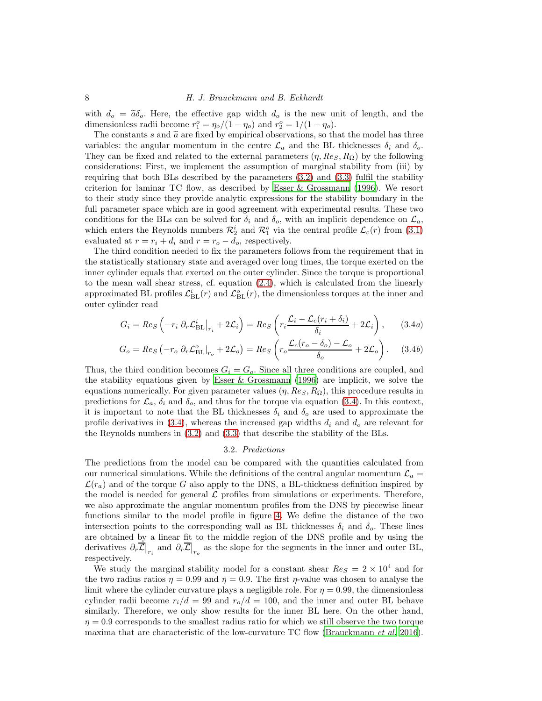## 8 H. J. Brauckmann and B. Eckhardt

with  $d_o = \tilde{a}\delta_o$ . Here, the effective gap width  $d_o$  is the new unit of length, and the dimensionless radii become  $r_1^o = \eta_o/(1 - \eta_o)$  and  $r_2^o = 1/(1 - \eta_o)$ .

The constants s and  $\tilde{a}$  are fixed by empirical observations, so that the model has three variables: the angular momentum in the centre  $\mathcal{L}_a$  and the BL thicknesses  $\delta_i$  and  $\delta_o$ . They can be fixed and related to the external parameters  $(\eta, Re_S, R_{\Omega})$  by the following considerations: First, we implement the assumption of marginal stability from (iii) by requiring that both BLs described by the parameters [\(3.2\)](#page-6-1) and [\(3.3\)](#page-6-2) fulfil the stability criterion for laminar TC flow, as described by Esser  $\&$  Grossmann (1996). We resort to their study since they provide analytic expressions for the stability boundary in the full parameter space which are in good agreement with experimental results. These two conditions for the BLs can be solved for  $\delta_i$  and  $\delta_o$ , with an implicit dependence on  $\mathcal{L}_a$ , which enters the Reynolds numbers  $\mathcal{R}_2^i$  and  $\mathcal{R}_1^o$  via the central profile  $\mathcal{L}_c(r)$  from [\(3.1\)](#page-6-3) evaluated at  $r = r_i + d_i$  and  $r = r_o - d_o$ , respectively.

The third condition needed to fix the parameters follows from the requirement that in the statistically stationary state and averaged over long times, the torque exerted on the inner cylinder equals that exerted on the outer cylinder. Since the torque is proportional to the mean wall shear stress, cf. equation [\(2.4\)](#page-3-1), which is calculated from the linearly approximated BL profiles  $\mathcal{L}_{BL}^{i}(r)$  and  $\mathcal{L}_{BL}^{o}(r)$ , the dimensionless torques at the inner and outer cylinder read

$$
G_i = Res \left( -r_i \partial_r \mathcal{L}_{BL}^i \big|_{r_i} + 2\mathcal{L}_i \right) = Res \left( r_i \frac{\mathcal{L}_i - \mathcal{L}_c(r_i + \delta_i)}{\delta_i} + 2\mathcal{L}_i \right), \qquad (3.4a)
$$

$$
G_o = Re_S \left( -r_o \partial_r \mathcal{L}_{BL}^o \big|_{r_o} + 2\mathcal{L}_o \right) = Re_S \left( r_o \frac{\mathcal{L}_c (r_o - \delta_o) - \mathcal{L}_o}{\delta_o} + 2\mathcal{L}_o \right). \tag{3.4b}
$$

Thus, the third condition becomes  $G_i = G_o$ . Since all three conditions are coupled, and the stability equations given by [Esser & Grossmann \(1996\)](#page-16-0) are implicit, we solve the equations numerically. For given parameter values  $(\eta, Re_S, R_{\Omega})$ , this procedure results in predictions for  $\mathcal{L}_a$ ,  $\delta_i$  and  $\delta_o$ , and thus for the torque via equation [\(3.4\)](#page-7-1). In this context, it is important to note that the BL thicknesses  $\delta_i$  and  $\delta_o$  are used to approximate the profile derivatives in [\(3.4\)](#page-7-1), whereas the increased gap widths  $d_i$  and  $d_o$  are relevant for the Reynolds numbers in [\(3.2\)](#page-6-1) and [\(3.3\)](#page-6-2) that describe the stability of the BLs.

#### <span id="page-7-1"></span>3.2. Predictions

<span id="page-7-0"></span>The predictions from the model can be compared with the quantities calculated from our numerical simulations. While the definitions of the central angular momentum  $\mathcal{L}_a$  $\mathcal{L}(r_a)$  and of the torque G also apply to the DNS, a BL-thickness definition inspired by the model is needed for general  $\mathcal L$  profiles from simulations or experiments. Therefore, we also approximate the angular momentum profiles from the DNS by piecewise linear functions similar to the model profile in figure [4.](#page-6-0) We define the distance of the two intersection points to the corresponding wall as BL thicknesses  $\delta_i$  and  $\delta_o$ . These lines are obtained by a linear fit to the middle region of the DNS profile and by using the derivatives  $\partial_r \vec{\mathcal{L}}|_{r_i}$  and  $\partial_r \vec{\mathcal{L}}|_{r_o}$  as the slope for the segments in the inner and outer BL, respectively.

We study the marginal stability model for a constant shear  $Re_S = 2 \times 10^4$  and for the two radius ratios  $\eta = 0.99$  and  $\eta = 0.9$ . The first  $\eta$ -value was chosen to analyse the limit where the cylinder curvature plays a negligible role. For  $\eta = 0.99$ , the dimensionless cylinder radii become  $r_i/d = 99$  and  $r_o/d = 100$ , and the inner and outer BL behave similarly. Therefore, we only show results for the inner BL here. On the other hand,  $\eta = 0.9$  corresponds to the smallest radius ratio for which we still observe the two torque maxima that are characteristic of the low-curvature TC flow [\(Brauckmann](#page-15-3) *et al.* [2016\)](#page-15-3).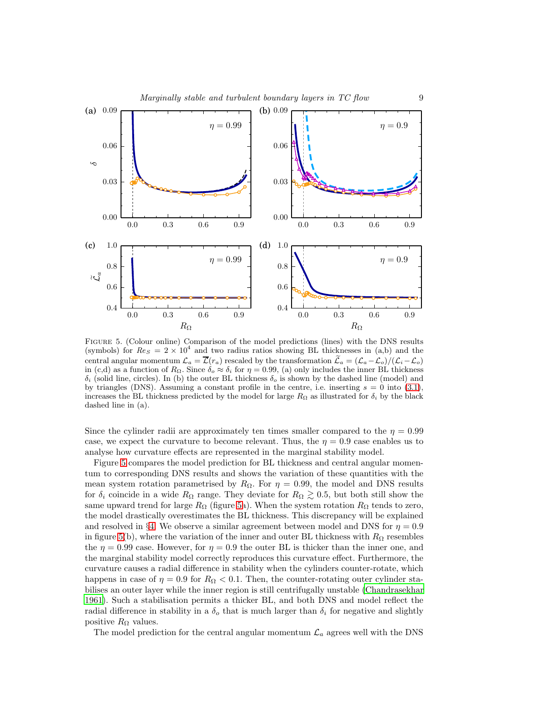

<span id="page-8-0"></span>Figure 5. (Colour online) Comparison of the model predictions (lines) with the DNS results (symbols) for  $ReS = 2 \times 10^4$  and two radius ratios showing BL thicknesses in (a,b) and the central angular momentum  $\mathcal{L}_a = \overline{\mathcal{L}}(r_a)$  rescaled by the transformation  $\widetilde{\mathcal{L}}_a = (\mathcal{L}_a - \mathcal{L}_o)/(\mathcal{L}_i - \mathcal{L}_o)$ in (c,d) as a function of  $R_{\Omega}$ . Since  $\delta_o \approx \delta_i$  for  $\eta = 0.99$ , (a) only includes the inner BL thickness  $\delta_i$  (solid line, circles). In (b) the outer BL thickness  $\delta_o$  is shown by the dashed line (model) and by triangles (DNS). Assuming a constant profile in the centre, i.e. inserting  $s = 0$  into [\(3.1\)](#page-6-3), increases the BL thickness predicted by the model for large  $R_{\Omega}$  as illustrated for  $\delta_i$  by the black dashed line in (a).

Since the cylinder radii are approximately ten times smaller compared to the  $\eta = 0.99$ case, we expect the curvature to become relevant. Thus, the  $\eta = 0.9$  case enables us to analyse how curvature effects are represented in the marginal stability model.

Figure [5](#page-8-0) compares the model prediction for BL thickness and central angular momentum to corresponding DNS results and shows the variation of these quantities with the mean system rotation parametrised by  $R_{\Omega}$ . For  $\eta = 0.99$ , the model and DNS results for  $\delta_i$  coincide in a wide  $R_{\Omega}$  range. They deviate for  $R_{\Omega} \gtrsim 0.5$ , but both still show the same upward trend for large  $R_{\Omega}$  (figure [5a](#page-8-0)). When the system rotation  $R_{\Omega}$  tends to zero, the model drastically overestimates the BL thickness. This discrepancy will be explained and resolved in §[4.](#page-10-0) We observe a similar agreement between model and DNS for  $\eta = 0.9$ in figure [5\(](#page-8-0)b), where the variation of the inner and outer BL thickness with  $R_{\Omega}$  resembles the  $\eta = 0.99$  case. However, for  $\eta = 0.9$  the outer BL is thicker than the inner one, and the marginal stability model correctly reproduces this curvature effect. Furthermore, the curvature causes a radial difference in stability when the cylinders counter-rotate, which happens in case of  $\eta = 0.9$  for  $R_{\Omega} < 0.1$ . Then, the counter-rotating outer cylinder stabilises an outer layer while the inner region is still centrifugally unstable [\(Chandrasekhar](#page-15-0) [1961\)](#page-15-0). Such a stabilisation permits a thicker BL, and both DNS and model reflect the radial difference in stability in a  $\delta_o$  that is much larger than  $\delta_i$  for negative and slightly positive  $R_{\Omega}$  values.

The model prediction for the central angular momentum  $\mathcal{L}_a$  agrees well with the DNS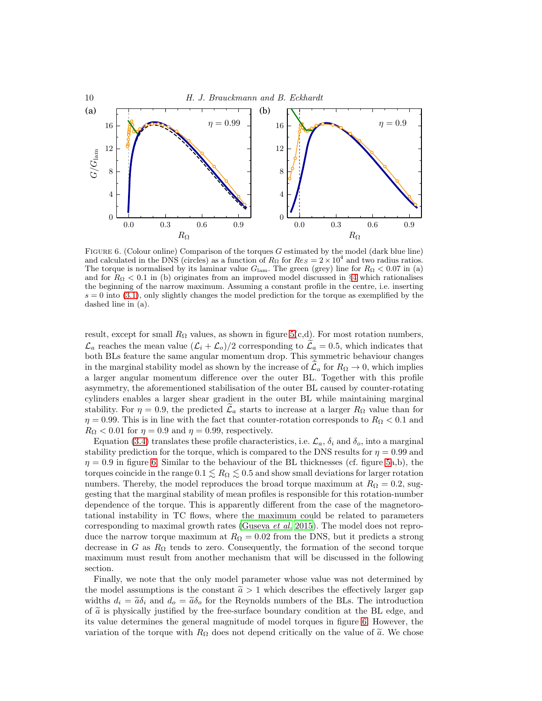

<span id="page-9-0"></span>FIGURE 6. (Colour online) Comparison of the torques G estimated by the model (dark blue line) and calculated in the DNS (circles) as a function of  $R_{\Omega}$  for  $Re_S = 2 \times 10^4$  and two radius ratios. The torque is normalised by its laminar value  $G_{\text{lam}}$ . The green (grey) line for  $R_{\Omega} < 0.07$  in (a) and for  $R_{\Omega}$  < 0.1 in (b) originates from an improved model discussed in §[4](#page-10-0) which rationalises the beginning of the narrow maximum. Assuming a constant profile in the centre, i.e. inserting  $s = 0$  into [\(3.1\)](#page-6-3), only slightly changes the model prediction for the torque as exemplified by the dashed line in (a).

result, except for small  $R_{\Omega}$  values, as shown in figure [5\(](#page-8-0)c,d). For most rotation numbers,  $\mathcal{L}_a$  reaches the mean value  $(\mathcal{L}_i + \mathcal{L}_o)/2$  corresponding to  $\mathcal{L}_a = 0.5$ , which indicates that both BLs feature the same angular momentum drop. This symmetric behaviour changes in the marginal stability model as shown by the increase of  $\mathcal{L}_a$  for  $R_\Omega \to 0$ , which implies a larger angular momentum difference over the outer BL. Together with this profile asymmetry, the aforementioned stabilisation of the outer BL caused by counter-rotating cylinders enables a larger shear gradient in the outer BL while maintaining marginal stability. For  $\eta = 0.9$ , the predicted  $\mathcal{L}_a$  starts to increase at a larger  $R_{\Omega}$  value than for  $\eta = 0.99$ . This is in line with the fact that counter-rotation corresponds to  $R_{\Omega} < 0.1$  and  $R_{\Omega} < 0.01$  for  $\eta = 0.9$  and  $\eta = 0.99$ , respectively.

Equation [\(3.4\)](#page-7-1) translates these profile characteristics, i.e.  $\mathcal{L}_a$ ,  $\delta_i$  and  $\delta_o$ , into a marginal stability prediction for the torque, which is compared to the DNS results for  $\eta = 0.99$  and  $\eta = 0.9$  in figure [6.](#page-9-0) Similar to the behaviour of the BL thicknesses (cf. figure [5a](#page-8-0),b), the torques coincide in the range  $0.1 \leq R_{\Omega} \leq 0.5$  and show small deviations for larger rotation numbers. Thereby, the model reproduces the broad torque maximum at  $R_{\Omega} = 0.2$ , suggesting that the marginal stability of mean profiles is responsible for this rotation-number dependence of the torque. This is apparently different from the case of the magnetorotational instability in TC flows, where the maximum could be related to parameters corresponding to maximal growth rates [\(Guseva](#page-16-19) et al. [2015\)](#page-16-19). The model does not reproduce the narrow torque maximum at  $R_{\Omega} = 0.02$  from the DNS, but it predicts a strong decrease in G as  $R_{\Omega}$  tends to zero. Consequently, the formation of the second torque maximum must result from another mechanism that will be discussed in the following section.

Finally, we note that the only model parameter whose value was not determined by the model assumptions is the constant  $\tilde{a} > 1$  which describes the effectively larger gap widths  $d_i = \tilde{a}\delta_i$  and  $d_o = \tilde{a}\delta_o$  for the Reynolds numbers of the BLs. The introduction of  $\tilde{a}$  is physically justified by the free-surface boundary condition at the BL edge, and its value determines the general magnitude of model torques in figure [6.](#page-9-0) However, the variation of the torque with  $R_{\Omega}$  does not depend critically on the value of  $\tilde{a}$ . We chose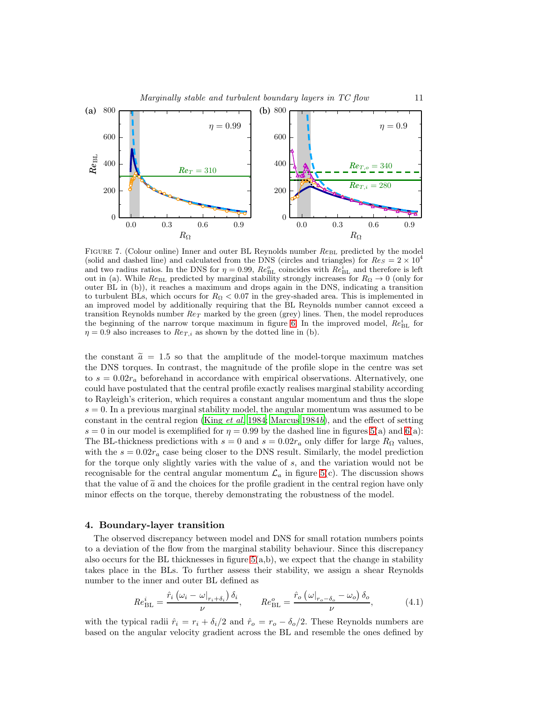



<span id="page-10-1"></span>FIGURE 7. (Colour online) Inner and outer BL Reynolds number  $Re_{BL}$  predicted by the model (solid and dashed line) and calculated from the DNS (circles and triangles) for  $Re_S = 2 \times 10^4$ and two radius ratios. In the DNS for  $\eta = 0.99$ ,  $Re_{BL}^o$  coincides with  $Re_{BL}^i$  and therefore is left out in (a). While  $Re_{BL}$  predicted by marginal stability strongly increases for  $R_{\Omega} \rightarrow 0$  (only for outer BL in (b)), it reaches a maximum and drops again in the DNS, indicating a transition to turbulent BLs, which occurs for  $R_{\Omega} < 0.07$  in the grey-shaded area. This is implemented in an improved model by additionally requiring that the BL Reynolds number cannot exceed a transition Reynolds number  $Re_T$  marked by the green (grey) lines. Then, the model reproduces the beginning of the narrow torque maximum in figure [6.](#page-9-0) In the improved model,  $Re_{BL}^{i}$  for  $\eta = 0.9$  also increases to  $Re_{T,i}$  as shown by the dotted line in (b).

the constant  $\tilde{a} = 1.5$  so that the amplitude of the model-torque maximum matches the DNS torques. In contrast, the magnitude of the profile slope in the centre was set to  $s = 0.02r_a$  beforehand in accordance with empirical observations. Alternatively, one could have postulated that the central profile exactly realises marginal stability according to Rayleigh's criterion, which requires a constant angular momentum and thus the slope  $s = 0$ . In a previous marginal stability model, the angular momentum was assumed to be constant in the central region (King [et al.](#page-16-11) [1984](#page-16-11); [Marcus 1984](#page-16-12)b), and the effect of setting  $s = 0$  in our model is exemplified for  $\eta = 0.99$  by the dashed line in figures [5\(](#page-8-0)a) and [6\(](#page-9-0)a): The BL-thickness predictions with  $s = 0$  and  $s = 0.02r_a$  only differ for large  $R_{\Omega}$  values, with the  $s = 0.02r_a$  case being closer to the DNS result. Similarly, the model prediction for the torque only slightly varies with the value of s, and the variation would not be recognisable for the central angular momentum  $\mathcal{L}_a$  in figure [5\(](#page-8-0)c). The discussion shows that the value of  $\tilde{a}$  and the choices for the profile gradient in the central region have only minor effects on the torque, thereby demonstrating the robustness of the model.

#### <span id="page-10-0"></span>4. Boundary-layer transition

The observed discrepancy between model and DNS for small rotation numbers points to a deviation of the flow from the marginal stability behaviour. Since this discrepancy also occurs for the BL thicknesses in figure  $5(a,b)$ , we expect that the change in stability takes place in the BLs. To further assess their stability, we assign a shear Reynolds number to the inner and outer BL defined as

$$
Re_{\rm BL}^i = \frac{\hat{r}_i \left( \omega_i - \omega_{r_i + \delta_i} \right) \delta_i}{\nu}, \qquad Re_{\rm BL}^o = \frac{\hat{r}_o \left( \omega_{r_o - \delta_o} - \omega_o \right) \delta_o}{\nu}, \tag{4.1}
$$

with the typical radii  $\hat{r}_i = r_i + \delta_i/2$  and  $\hat{r}_o = r_o - \delta_o/2$ . These Reynolds numbers are based on the angular velocity gradient across the BL and resemble the ones defined by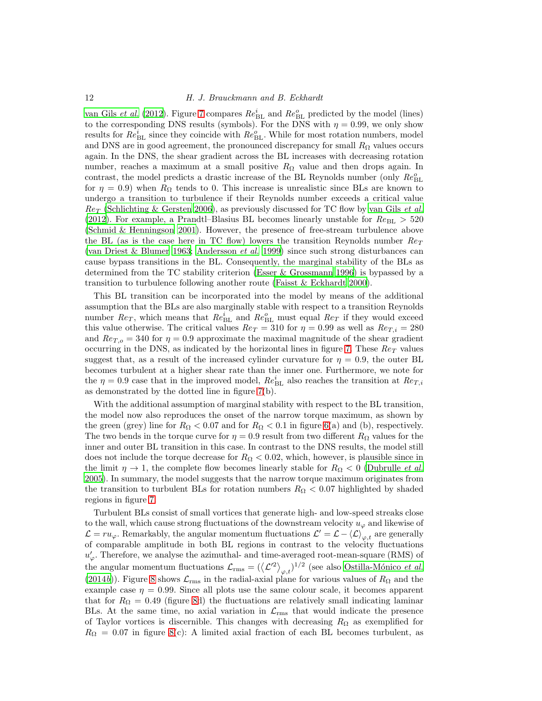#### 12 H. J. Brauckmann and B. Eckhardt

[van Gils](#page-16-5) *et al.* [\(2012](#page-16-5)). Figure [7](#page-10-1) compares  $Re_{BL}^{i}$  and  $Re_{BL}^{o}$  predicted by the model (lines) to the corresponding DNS results (symbols). For the DNS with  $\eta = 0.99$ , we only show results for  $Re_{\rm BL}^i$  since they coincide with  $Re_{\rm BL}^o$ . While for most rotation numbers, model and DNS are in good agreement, the pronounced discrepancy for small  $R_{\Omega}$  values occurs again. In the DNS, the shear gradient across the BL increases with decreasing rotation number, reaches a maximum at a small positive  $R_{\Omega}$  value and then drops again. In contrast, the model predicts a drastic increase of the BL Reynolds number (only  $Re_{BL}^o$ for  $\eta = 0.9$ ) when  $R_{\Omega}$  tends to 0. This increase is unrealistic since BLs are known to undergo a transition to turbulence if their Reynolds number exceeds a critical value  $Re_T$  [\(Schlichting & Gersten 2006\)](#page-17-8), as previously discussed for TC flow by [van Gils](#page-16-5) *et al.* [\(2012\)](#page-16-5). For example, a Prandtl–Blasius BL becomes linearly unstable for  $Re_{BL} > 520$ [\(Schmid & Henningson 2001\)](#page-17-9). However, the presence of free-stream turbulence above the BL (as is the case here in TC flow) lowers the transition Reynolds number  $Re_T$ [\(van Driest & Blumer 1963;](#page-16-20) [Andersson](#page-15-7) et al. [1999](#page-15-7)) since such strong disturbances can cause bypass transitions in the BL. Consequently, the marginal stability of the BLs as determined from the TC stability criterion [\(Esser & Grossmann 1996\)](#page-16-0) is bypassed by a transition to turbulence following another route [\(Faisst & Eckhardt 2000](#page-16-21)).

This BL transition can be incorporated into the model by means of the additional assumption that the BLs are also marginally stable with respect to a transition Reynolds number  $Re_T$ , which means that  $Re_{BL}^i$  and  $Re_{BL}^o$  must equal  $Re_T$  if they would exceed this value otherwise. The critical values  $Re_T = 310$  for  $\eta = 0.99$  as well as  $Re_{T,i} = 280$ and  $Re_{T,o} = 340$  for  $\eta = 0.9$  approximate the maximal magnitude of the shear gradient occurring in the DNS, as indicated by the horizontal lines in figure [7.](#page-10-1) These  $Re_T$  values suggest that, as a result of the increased cylinder curvature for  $\eta = 0.9$ , the outer BL becomes turbulent at a higher shear rate than the inner one. Furthermore, we note for the  $\eta = 0.9$  case that in the improved model,  $Re_{BL}^{i}$  also reaches the transition at  $Re_{T,i}$ as demonstrated by the dotted line in figure [7\(](#page-10-1)b).

With the additional assumption of marginal stability with respect to the BL transition, the model now also reproduces the onset of the narrow torque maximum, as shown by the green (grey) line for  $R_{\Omega} < 0.07$  and for  $R_{\Omega} < 0.1$  in figure [6\(](#page-9-0)a) and (b), respectively. The two bends in the torque curve for  $\eta = 0.9$  result from two different  $R_{\Omega}$  values for the inner and outer BL transition in this case. In contrast to the DNS results, the model still does not include the torque decrease for  $R_{\Omega} < 0.02$ , which, however, is plausible since in the limit  $\eta \to 1$ , the complete flow becomes linearly stable for  $R_{\Omega} < 0$  [\(Dubrulle](#page-16-1) *et al.*) [2005\)](#page-16-1). In summary, the model suggests that the narrow torque maximum originates from the transition to turbulent BLs for rotation numbers  $R_{\Omega} < 0.07$  highlighted by shaded regions in figure [7.](#page-10-1)

Turbulent BLs consist of small vortices that generate high- and low-speed streaks close to the wall, which cause strong fluctuations of the downstream velocity  $u_{\varphi}$  and likewise of  $\mathcal{L} = ru_{\varphi}$ . Remarkably, the angular momentum fluctuations  $\mathcal{L}' = \mathcal{L} - \langle \mathcal{L} \rangle_{\varphi,t}$  are generally of comparable amplitude in both BL regions in contrast to the velocity fluctuations  $u'_{\varphi}$ . Therefore, we analyse the azimuthal- and time-averaged root-mean-square (RMS) of the angular momentum fluctuations  $\mathcal{L}_{\text{rms}} = (\langle L^2 \rangle_{\varphi,t})^{1/2}$  (see also Ostilla-Mónico *et al.*) [\(2014](#page-16-22)b)). Figure [8](#page-12-0) shows  $\mathcal{L}_{\rm rms}$  in the radial-axial plane for various values of  $R_{\Omega}$  and the example case  $\eta = 0.99$ . Since all plots use the same colour scale, it becomes apparent that for  $R_{\Omega} = 0.49$  (figure [8d](#page-12-0)) the fluctuations are relatively small indicating laminar BLs. At the same time, no axial variation in  $\mathcal{L}_{\text{rms}}$  that would indicate the presence of Taylor vortices is discernible. This changes with decreasing  $R_{\Omega}$  as exemplified for  $R_{\Omega} = 0.07$  in figure [8\(](#page-12-0)c): A limited axial fraction of each BL becomes turbulent, as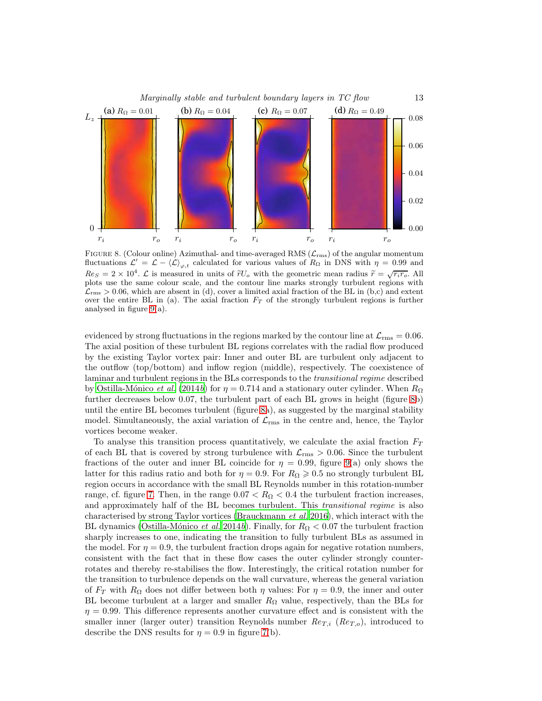

<span id="page-12-0"></span>FIGURE 8. (Colour online) Azimuthal- and time-averaged RMS  $(\mathcal{L}_{\text{rms}})$  of the angular momentum fluctuations  $\mathcal{L}' = \mathcal{L} - \langle \mathcal{L} \rangle_{\varphi,t}$  calculated for various values of  $R_{\Omega}$  in DNS with  $\eta = 0.99$  and  $Res = 2 \times 10^4$ .  $\mathcal{L}$  is measured in units of  $\tilde{r}U_o$  with the geometric mean radius  $\tilde{r} = \sqrt{r_i r_o}$ . All plots use the same colour scale, and the contour line marks strongly turbulent regions with  $\mathcal{L}_{\rm rms} > 0.06$ , which are absent in (d), cover a limited axial fraction of the BL in (b,c) and extent over the entire BL in (a). The axial fraction  $F_T$  of the strongly turbulent regions is further analysed in figure [9\(](#page-13-0)a).

evidenced by strong fluctuations in the regions marked by the contour line at  $\mathcal{L}_{\rm rms} = 0.06$ . The axial position of these turbulent BL regions correlates with the radial flow produced by the existing Taylor vortex pair: Inner and outer BL are turbulent only adjacent to the outflow (top/bottom) and inflow region (middle), respectively. The coexistence of laminar and turbulent regions in the BLs corresponds to the *transitional regime* described by Ostilla-Mónico et al. [\(2014](#page-16-22)b) for  $\eta = 0.714$  and a stationary outer cylinder. When  $R_{\Omega}$ further decreases below 0.07, the turbulent part of each BL grows in height (figure [8b](#page-12-0)) until the entire BL becomes turbulent (figure [8a](#page-12-0)), as suggested by the marginal stability model. Simultaneously, the axial variation of  $\mathcal{L}_{\rm rms}$  in the centre and, hence, the Taylor vortices become weaker.

To analyse this transition process quantitatively, we calculate the axial fraction  $F_T$ of each BL that is covered by strong turbulence with  $\mathcal{L}_{\rm rms} > 0.06$ . Since the turbulent fractions of the outer and inner BL coincide for  $\eta = 0.99$ , figure [9\(](#page-13-0)a) only shows the latter for this radius ratio and both for  $\eta = 0.9$ . For  $R_{\Omega} \geq 0.5$  no strongly turbulent BL region occurs in accordance with the small BL Reynolds number in this rotation-number range, cf. figure [7.](#page-10-1) Then, in the range  $0.07 < R_{\Omega} < 0.4$  the turbulent fraction increases, and approximately half of the BL becomes turbulent. This *transitional regime* is also characterised by strong Taylor vortices [\(Brauckmann](#page-15-3) et al. [2016\)](#page-15-3), which interact with the BL dynamics (Ostilla-Mónico et al. [2014](#page-16-22)b). Finally, for  $R_{\Omega} < 0.07$  the turbulent fraction sharply increases to one, indicating the transition to fully turbulent BLs as assumed in the model. For  $\eta = 0.9$ , the turbulent fraction drops again for negative rotation numbers, consistent with the fact that in these flow cases the outer cylinder strongly counterrotates and thereby re-stabilises the flow. Interestingly, the critical rotation number for the transition to turbulence depends on the wall curvature, whereas the general variation of  $F_T$  with  $R_\Omega$  does not differ between both  $\eta$  values: For  $\eta = 0.9$ , the inner and outer BL become turbulent at a larger and smaller  $R_{\Omega}$  value, respectively, than the BLs for  $\eta = 0.99$ . This difference represents another curvature effect and is consistent with the smaller inner (larger outer) transition Reynolds number  $Re_{T,i}$  ( $Re_{T,o}$ ), introduced to describe the DNS results for  $\eta = 0.9$  in figure [7\(](#page-10-1)b).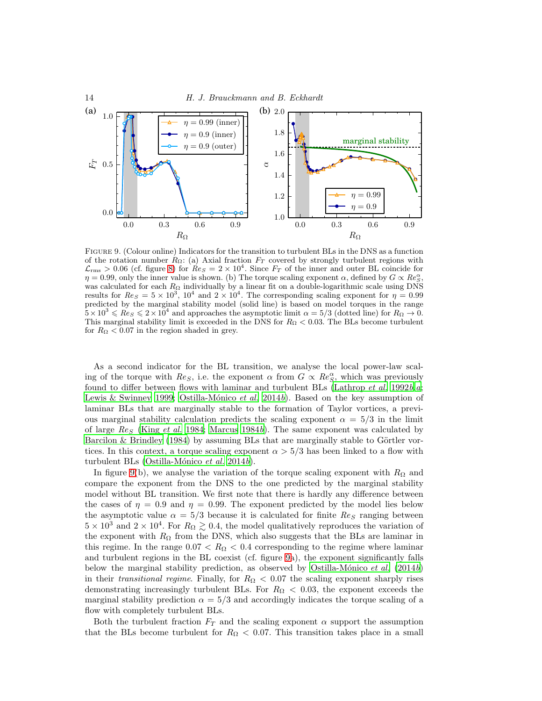

<span id="page-13-0"></span>Figure 9. (Colour online) Indicators for the transition to turbulent BLs in the DNS as a function of the rotation number  $R_{\Omega}$ : (a) Axial fraction  $F_T$  covered by strongly turbulent regions with  $\mathcal{L}_{\text{rms}} > 0.06$  (cf. figure [8\)](#page-12-0) for  $ReS = 2 \times 10^4$ . Since  $F_T$  of the inner and outer BL coincide for  $\eta = 0.99$ , only the inner value is shown. (b) The torque scaling exponent  $\alpha$ , defined by  $G \propto Re_S^{\alpha}$ , was calculated for each  $R_{\Omega}$  individually by a linear fit on a double-logarithmic scale using DNS results for  $Res = 5 \times 10^3$ ,  $10^4$  and  $2 \times 10^4$ . The corresponding scaling exponent for  $\eta = 0.99$ predicted by the marginal stability model (solid line) is based on model torques in the range  $\frac{5}{2} \times 10^3 \leqslant Re_S \leqslant 2 \times 10^4$  and approaches the asymptotic limit  $\alpha = 5/3$  (dotted line) for  $R_\Omega \to 0$ . This marginal stability limit is exceeded in the DNS for  $R_{\Omega} < 0.03$ . The BLs become turbulent for  $R_{\Omega} < 0.07$  in the region shaded in grey.

As a second indicator for the BL transition, we analyse the local power-law scaling of the torque with  $Re_S$ , i.e. the exponent  $\alpha$  from  $G \propto Re_S^{\alpha}$ , which was previously found to differ between flows with laminar and turbulent BLs [\(Lathrop](#page-16-23) *et [a](#page-16-24)l.* [1992](#page-16-23)*b*,*a*; [Lewis & Swinney 1999;](#page-16-18) Ostilla-Mónico et al. [2014](#page-16-22)b). Based on the key assumption of laminar BLs that are marginally stable to the formation of Taylor vortices, a previous marginal stability calculation predicts the scaling exponent  $\alpha = 5/3$  in the limit of large  $Res$  (King [et al.](#page-16-11) [1984;](#page-16-11) [Marcus 1984](#page-16-12)b). The same exponent was calculated by [Barcilon & Brindley \(1984](#page-15-4)) by assuming BLs that are marginally stable to Görtler vortices. In this context, a torque scaling exponent  $\alpha > 5/3$  has been linked to a flow with turbulent BLs (Ostilla-Mónico et al. [2014](#page-16-22)b).

In figure [9\(](#page-13-0)b), we analyse the variation of the torque scaling exponent with  $R_{\Omega}$  and compare the exponent from the DNS to the one predicted by the marginal stability model without BL transition. We first note that there is hardly any difference between the cases of  $\eta = 0.9$  and  $\eta = 0.99$ . The exponent predicted by the model lies below the asymptotic value  $\alpha = 5/3$  because it is calculated for finite  $Re<sub>S</sub>$  ranging between  $5 \times 10^3$  and  $2 \times 10^4$ . For  $R_{\Omega} \gtrsim 0.4$ , the model qualitatively reproduces the variation of the exponent with  $R_{\Omega}$  from the DNS, which also suggests that the BLs are laminar in this regime. In the range  $0.07 < R_{\Omega} < 0.4$  corresponding to the regime where laminar and turbulent regions in the BL coexist (cf. figure [9a](#page-13-0)), the exponent significantly falls below the marginal stability prediction, as observed by Ostilla-Mónico et al. [\(2014](#page-16-22)b) in their *transitional regime*. Finally, for  $R_{\Omega} < 0.07$  the scaling exponent sharply rises demonstrating increasingly turbulent BLs. For  $R_{\Omega} < 0.03$ , the exponent exceeds the marginal stability prediction  $\alpha = 5/3$  and accordingly indicates the torque scaling of a flow with completely turbulent BLs.

Both the turbulent fraction  $F_T$  and the scaling exponent  $\alpha$  support the assumption that the BLs become turbulent for  $R_{\Omega} < 0.07$ . This transition takes place in a small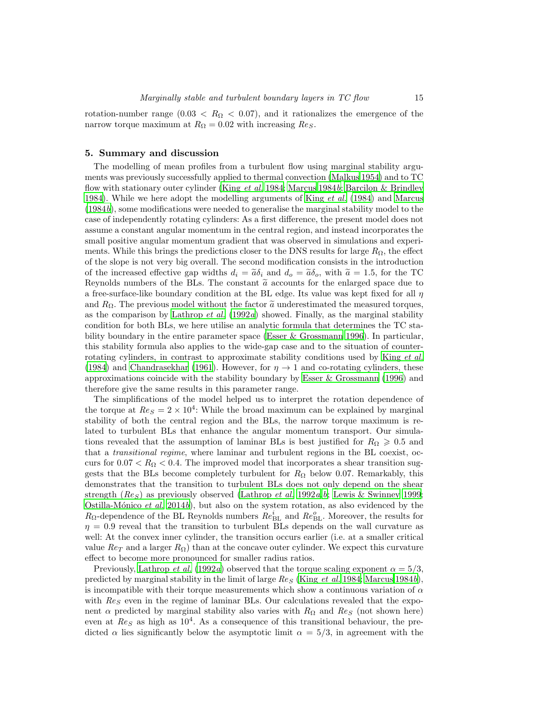rotation-number range  $(0.03 < R_{\Omega} < 0.07)$ , and it rationalizes the emergence of the narrow torque maximum at  $R_{\Omega} = 0.02$  with increasing  $Re<sub>S</sub>$ .

#### 5. Summary and discussion

The modelling of mean profiles from a turbulent flow using marginal stability arguments was previously successfully applied to thermal convection [\(Malkus 1954\)](#page-16-6) and to TC flow with stationary outer cylinder (King [et al.](#page-16-11) [1984](#page-16-11); [Marcus 1984](#page-16-12)b; [Barcilon & Brindley](#page-15-4) [1984\)](#page-15-4). While we here adopt the modelling arguments of King [et al.](#page-16-11) [\(1984\)](#page-16-11) and [Marcus](#page-16-12) [\(1984](#page-16-12)b), some modifications were needed to generalise the marginal stability model to the case of independently rotating cylinders: As a first difference, the present model does not assume a constant angular momentum in the central region, and instead incorporates the small positive angular momentum gradient that was observed in simulations and experiments. While this brings the predictions closer to the DNS results for large  $R_{\Omega}$ , the effect of the slope is not very big overall. The second modification consists in the introduction of the increased effective gap widths  $d_i = \tilde{a}\delta_i$  and  $d_o = \tilde{a}\delta_o$ , with  $\tilde{a} = 1.5$ , for the TC Reynolds numbers of the BLs. The constant  $\tilde{a}$  accounts for the enlarged space due to a free-surface-like boundary condition at the BL edge. Its value was kept fixed for all  $\eta$ and  $R_{\Omega}$ . The previous model without the factor  $\tilde{a}$  underestimated the measured torques, as the comparison by [Lathrop](#page-16-24) *et al.* [\(1992](#page-16-24)*a*) showed. Finally, as the marginal stability condition for both BLs, we here utilise an analytic formula that determines the TC stability boundary in the entire parameter space [\(Esser & Grossmann 1996\)](#page-16-0). In particular, this stability formula also applies to the wide-gap case and to the situation of counterrotating cylinders, in contrast to approximate stability conditions used by King *[et al.](#page-16-11)* [\(1984\)](#page-16-11) and [Chandrasekhar \(1961](#page-15-0)). However, for  $\eta \to 1$  and co-rotating cylinders, these approximations coincide with the stability boundary by Esser  $\&$  Grossmann (1996) and therefore give the same results in this parameter range.

The simplifications of the model helped us to interpret the rotation dependence of the torque at  $Re<sub>S</sub> = 2 \times 10<sup>4</sup>$ : While the broad maximum can be explained by marginal stability of both the central region and the BLs, the narrow torque maximum is related to turbulent BLs that enhance the angular momentum transport. Our simulations revealed that the assumption of laminar BLs is best justified for  $R_{\Omega} \geqslant 0.5$  and that a *transitional regime*, where laminar and turbulent regions in the BL coexist, occurs for  $0.07 < R_{\Omega} < 0.4$ . The improved model that incorporates a shear transition suggests that the BLs become completely turbulent for  $R_{\Omega}$  below 0.07. Remarkably, this demonstrates that the transition to turbulent BLs does not only depend on the shear strength ( $Re<sub>S</sub>$  $Re<sub>S</sub>$  $Re<sub>S</sub>$ ) as previously observed [\(Lathrop](#page-16-24) *et al.* [1992](#page-16-24)*a,b*; [Lewis & Swinney 1999;](#page-16-18) Ostilla-Mónico et al. [2014](#page-16-22)b), but also on the system rotation, as also evidenced by the  $R_{\Omega}$ -dependence of the BL Reynolds numbers  $Re_{\text{BL}}^i$  and  $Re_{\text{BL}}^o$ . Moreover, the results for  $\eta = 0.9$  reveal that the transition to turbulent BLs depends on the wall curvature as well: At the convex inner cylinder, the transition occurs earlier (i.e. at a smaller critical value  $Re_T$  and a larger  $R_{\Omega}$ ) than at the concave outer cylinder. We expect this curvature effect to become more pronounced for smaller radius ratios.

Previously, [Lathrop](#page-16-24) et al. [\(1992](#page-16-24)a) observed that the torque scaling exponent  $\alpha = 5/3$ , predicted by marginal stability in the limit of large  $Re<sub>S</sub>$  (King *[et al.](#page-16-11)* [1984](#page-16-11); [Marcus 1984](#page-16-12)b), is incompatible with their torque measurements which show a continuous variation of  $\alpha$ with  $\text{Re}_S$  even in the regime of laminar BLs. Our calculations revealed that the exponent  $\alpha$  predicted by marginal stability also varies with  $R_{\Omega}$  and  $Re_S$  (not shown here) even at  $Res$  as high as  $10<sup>4</sup>$ . As a consequence of this transitional behaviour, the predicted  $\alpha$  lies significantly below the asymptotic limit  $\alpha = 5/3$ , in agreement with the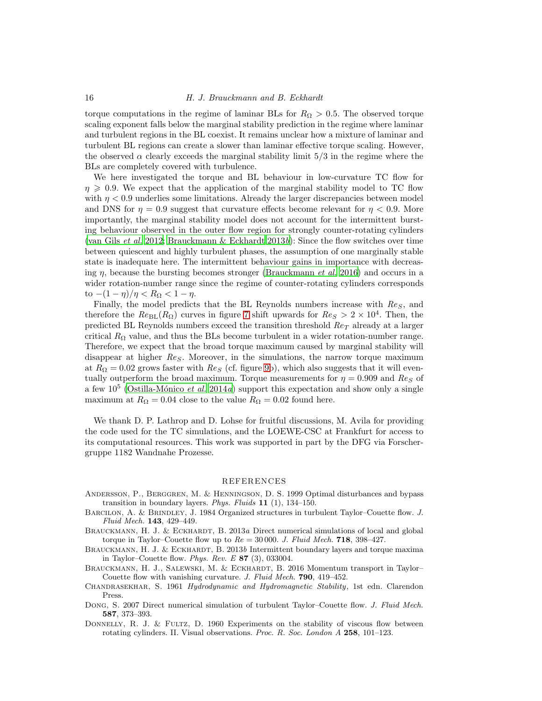torque computations in the regime of laminar BLs for  $R_{\Omega} > 0.5$ . The observed torque scaling exponent falls below the marginal stability prediction in the regime where laminar and turbulent regions in the BL coexist. It remains unclear how a mixture of laminar and turbulent BL regions can create a slower than laminar effective torque scaling. However, the observed  $\alpha$  clearly exceeds the marginal stability limit 5/3 in the regime where the BLs are completely covered with turbulence.

We here investigated the torque and BL behaviour in low-curvature TC flow for  $\eta \geqslant 0.9$ . We expect that the application of the marginal stability model to TC flow with  $\eta < 0.9$  underlies some limitations. Already the larger discrepancies between model and DNS for  $\eta = 0.9$  suggest that curvature effects become relevant for  $\eta < 0.9$ . More importantly, the marginal stability model does not account for the intermittent bursting behaviour observed in the outer flow region for strongly counter-rotating cylinders [\(van Gils](#page-16-5) *et al.* [2012;](#page-16-5) [Brauckmann & Eckhardt 2013](#page-15-2)b): Since the flow switches over time between quiescent and highly turbulent phases, the assumption of one marginally stable state is inadequate here. The intermittent behaviour gains in importance with decreasing  $\eta$ , because the bursting becomes stronger [\(Brauckmann](#page-15-3) *et al.* [2016](#page-15-3)) and occurs in a wider rotation-number range since the regime of counter-rotating cylinders corresponds to  $-(1 - \eta)/\eta < R_{\Omega} < 1 - \eta$ .

Finally, the model predicts that the BL Reynolds numbers increase with  $\text{Re}_S$ , and therefore the  $Re_{BL}(R_{\Omega})$  curves in figure [7](#page-10-1) shift upwards for  $Re_S > 2 \times 10^4$ . Then, the predicted BL Reynolds numbers exceed the transition threshold  $Re_T$  already at a larger critical  $R_{\Omega}$  value, and thus the BLs become turbulent in a wider rotation-number range. Therefore, we expect that the broad torque maximum caused by marginal stability will disappear at higher  $Re<sub>S</sub>$ . Moreover, in the simulations, the narrow torque maximum at  $R_{\Omega} = 0.02$  grows faster with  $Re_S$  (cf. figure [9b](#page-13-0)), which also suggests that it will eventually outperform the broad maximum. Torque measurements for  $\eta = 0.909$  and  $\text{Re}_S$  of a few  $10^5$  (Ostilla-Mónico *et al.* [2014](#page-16-25)*a*) support this expectation and show only a single maximum at  $R_{\Omega} = 0.04$  close to the value  $R_{\Omega} = 0.02$  found here.

We thank D. P. Lathrop and D. Lohse for fruitful discussions, M. Avila for providing the code used for the TC simulations, and the LOEWE-CSC at Frankfurt for access to its computational resources. This work was supported in part by the DFG via Forschergruppe 1182 Wandnahe Prozesse.

## REFERENCES

- <span id="page-15-7"></span>Andersson, P., Berggren, M. & Henningson, D. S. 1999 Optimal disturbances and bypass transition in boundary layers. Phys. Fluids 11 (1), 134–150.
- <span id="page-15-4"></span>BARCILON, A. & BRINDLEY, J. 1984 Organized structures in turbulent Taylor–Couette flow. J. Fluid Mech. 143, 429–449.
- <span id="page-15-1"></span>BRAUCKMANN, H. J. & ECKHARDT, B. 2013a Direct numerical simulations of local and global torque in Taylor–Couette flow up to  $Re = 30000$ . J. Fluid Mech. 718, 398–427.
- <span id="page-15-2"></span>BRAUCKMANN, H. J. & ECKHARDT, B. 2013b Intermittent boundary layers and torque maxima in Taylor–Couette flow. Phys. Rev. E  $87$  (3), 033004.
- <span id="page-15-3"></span>BRAUCKMANN, H. J., SALEWSKI, M. & ECKHARDT, B. 2016 Momentum transport in Taylor– Couette flow with vanishing curvature. J. Fluid Mech. 790, 419–452.
- <span id="page-15-0"></span>CHANDRASEKHAR, S. 1961 Hydrodynamic and Hydromagnetic Stability, 1st edn. Clarendon Press.
- <span id="page-15-5"></span>DONG, S. 2007 Direct numerical simulation of turbulent Taylor–Couette flow. J. Fluid Mech. 587, 373–393.
- <span id="page-15-6"></span>DONNELLY, R. J. & FULTZ, D. 1960 Experiments on the stability of viscous flow between rotating cylinders. II. Visual observations. Proc. R. Soc. London A 258, 101–123.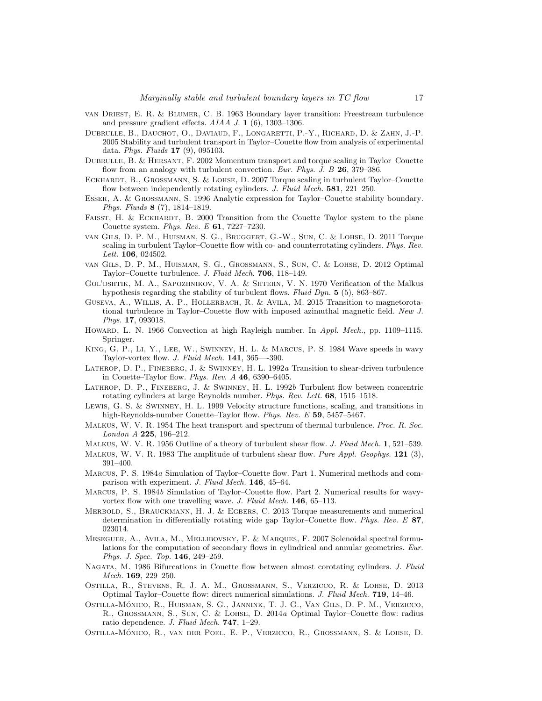- <span id="page-16-20"></span>van Driest, E. R. & Blumer, C. B. 1963 Boundary layer transition: Freestream turbulence and pressure gradient effects. AIAA J. 1 (6), 1303–1306.
- <span id="page-16-1"></span>Dubrulle, B., Dauchot, O., Daviaud, F., Longaretti, P.-Y., Richard, D. & Zahn, J.-P. 2005 Stability and turbulent transport in Taylor–Couette flow from analysis of experimental data. Phys. Fluids 17 (9), 095103.
- <span id="page-16-16"></span>DUBRULLE, B. & HERSANT, F. 2002 Momentum transport and torque scaling in Taylor–Couette flow from an analogy with turbulent convection. Eur. Phys. J. B 26, 379-386.
- <span id="page-16-17"></span>ECKHARDT, B., GROSSMANN, S. & LOHSE, D. 2007 Torque scaling in turbulent Taylor–Couette flow between independently rotating cylinders. J. Fluid Mech. 581, 221-250.
- <span id="page-16-0"></span>Esser, A. & Grossmann, S. 1996 Analytic expression for Taylor–Couette stability boundary. Phys. Fluids 8 (7), 1814–1819.
- <span id="page-16-21"></span>FAISST, H. & ECKHARDT, B. 2000 Transition from the Couette–Taylor system to the plane Couette system. Phys. Rev. E 61, 7227–7230.
- <span id="page-16-2"></span>van Gils, D. P. M., Huisman, S. G., Bruggert, G.-W., Sun, C. & Lohse, D. 2011 Torque scaling in turbulent Taylor–Couette flow with co- and counterrotating cylinders. Phys. Rev. Lett. **106**, 024502.
- <span id="page-16-5"></span>van Gils, D. P. M., Huisman, S. G., Grossmann, S., Sun, C. & Lohse, D. 2012 Optimal Taylor–Couette turbulence. J. Fluid Mech. 706, 118–149.
- <span id="page-16-10"></span>GOL'DSHTIK, M. A., SAPOZHNIKOV, V. A. & SHTERN, V. N. 1970 Verification of the Malkus hypothesis regarding the stability of turbulent flows. Fluid Dyn. 5 (5), 863-867.
- <span id="page-16-19"></span>Guseva, A., Willis, A. P., Hollerbach, R. & Avila, M. 2015 Transition to magnetorotational turbulence in Taylor–Couette flow with imposed azimuthal magnetic field. New J. Phys. 17, 093018.
- <span id="page-16-7"></span>HOWARD, L. N. 1966 Convection at high Rayleigh number. In Appl. Mech., pp. 1109–1115. Springer.
- <span id="page-16-11"></span>King, G. P., Li, Y., Lee, W., Swinney, H. L. & Marcus, P. S. 1984 Wave speeds in wavy Taylor-vortex flow. J. Fluid Mech. 141, 365—-390.
- <span id="page-16-24"></span>Lathrop, D. P., Fineberg, J. & Swinney, H. L. 1992a Transition to shear-driven turbulence in Couette–Taylor flow. Phys. Rev.  $A$  46, 6390–6405.
- <span id="page-16-23"></span>LATHROP, D. P., FINEBERG, J. & SWINNEY, H. L. 1992b Turbulent flow between concentric rotating cylinders at large Reynolds number. Phys. Rev. Lett. 68, 1515–1518.
- <span id="page-16-18"></span>Lewis, G. S. & Swinney, H. L. 1999 Velocity structure functions, scaling, and transitions in high-Reynolds-number Couette–Taylor flow. Phys. Rev. E 59, 5457–5467.
- <span id="page-16-6"></span>MALKUS, W. V. R. 1954 The heat transport and spectrum of thermal turbulence. Proc. R. Soc. London A 225, 196–212.
- <span id="page-16-8"></span>MALKUS, W. V. R. 1956 Outline of a theory of turbulent shear flow. J. Fluid Mech. 1, 521–539.
- <span id="page-16-9"></span>MALKUS, W. V. R. 1983 The amplitude of turbulent shear flow. Pure Appl. Geophys. 121 (3), 391–400.
- <span id="page-16-15"></span>MARCUS, P. S. 1984a Simulation of Taylor–Couette flow. Part 1. Numerical methods and comparison with experiment. J. Fluid Mech. 146, 45–64.
- <span id="page-16-12"></span>Marcus, P. S. 1984b Simulation of Taylor–Couette flow. Part 2. Numerical results for wavyvortex flow with one travelling wave. J. Fluid Mech. 146, 65-113.
- <span id="page-16-4"></span>Merbold, S., Brauckmann, H. J. & Egbers, C. 2013 Torque measurements and numerical determination in differentially rotating wide gap Taylor–Couette flow. Phys. Rev. E 87, 023014.
- <span id="page-16-14"></span>Meseguer, A., Avila, M., Mellibovsky, F. & Marques, F. 2007 Solenoidal spectral formulations for the computation of secondary flows in cylindrical and annular geometries. Eur. Phys. J. Spec. Top. 146, 249–259.
- <span id="page-16-13"></span>NAGATA, M. 1986 Bifurcations in Couette flow between almost corotating cylinders. J. Fluid Mech. 169, 229–250.
- <span id="page-16-3"></span>Ostilla, R., Stevens, R. J. A. M., Grossmann, S., Verzicco, R. & Lohse, D. 2013 Optimal Taylor–Couette flow: direct numerical simulations. J. Fluid Mech. 719, 14–46.
- <span id="page-16-25"></span>OSTILLA-MÓNICO, R., HUISMAN, S. G., JANNINK, T. J. G., VAN GILS, D. P. M., VERZICCO, R., Grossmann, S., Sun, C. & Lohse, D. 2014a Optimal Taylor–Couette flow: radius ratio dependence. J. Fluid Mech. 747, 1–29.
- <span id="page-16-22"></span>OSTILLA-MÓNICO, R., VAN DER POEL, E. P., VERZICCO, R., GROSSMANN, S. & LOHSE, D.